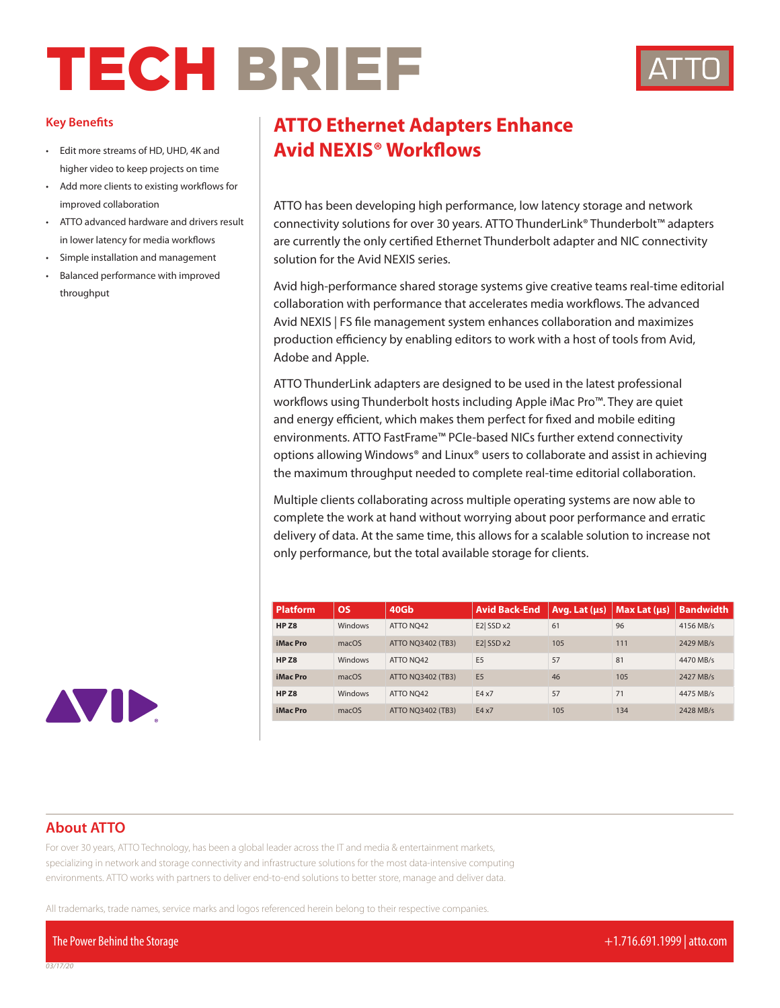## TECH BRIEF



## **Key Benefits**

- higher video to keep projects on time
- Add more clients to existing workflows for improved collaboration
- ATTO advanced hardware and drivers result in lower latency for media workflows
- Simple installation and management
- Balanced performance with improved throughput

## **ATTO Ethernet Adapters Enhance** • Edit more streams of HD, UHD, 4K and **Avid NEXIS<sup>®</sup> Workflows**

ATTO has been developing high performance, low latency storage and network connectivity solutions for over 30 years. ATTO ThunderLink® Thunderbolt™ adapters are currently the only certified Ethernet Thunderbolt adapter and NIC connectivity solution for the Avid NEXIS series.

Avid high-performance shared storage systems give creative teams real-time editorial collaboration with performance that accelerates media workflows. The advanced Avid NEXIS | FS file management system enhances collaboration and maximizes production efficiency by enabling editors to work with a host of tools from Avid, Adobe and Apple.

ATTO ThunderLink adapters are designed to be used in the latest professional workflows using Thunderbolt hosts including Apple iMac Pro™. They are quiet and energy efficient, which makes them perfect for fixed and mobile editing environments. ATTO FastFrame™ PCIe-based NICs further extend connectivity options allowing Windows® and Linux® users to collaborate and assist in achieving the maximum throughput needed to complete real-time editorial collaboration.

Multiple clients collaborating across multiple operating systems are now able to complete the work at hand without worrying about poor performance and erratic delivery of data. At the same time, this allows for a scalable solution to increase not only performance, but the total available storage for clients.

| <b>Platform</b>  | OS      | 40Gb                     | <b>Avid Back-End</b> | Avg. Lat (us) | Max Lat $($ us $)$ | <b>Bandwidth</b> |
|------------------|---------|--------------------------|----------------------|---------------|--------------------|------------------|
| HP <sub>Z8</sub> | Windows | ATTO NO42                | E2 SSD x2            | 61            | 96                 | 4156 MB/s        |
| iMac Pro         | macOS   | <b>ATTO NO3402 (TB3)</b> | E2 SSD x2            | 105           | 111                | 2429 MB/s        |
| HP <sub>Z8</sub> | Windows | ATTO NO42                | E <sub>5</sub>       | 57            | 81                 | 4470 MB/s        |
| iMac Pro         | macOS   | <b>ATTO NO3402 (TB3)</b> | E <sub>5</sub>       | 46            | 105                | 2427 MB/s        |
| HP <sub>Z8</sub> | Windows | ATTO NO42                | E4x7                 | 57            | 71                 | 4475 MB/s        |
| iMac Pro         | macOS   | <b>ATTO NO3402 (TB3)</b> | E4x7                 | 105           | 134                | 2428 MB/s        |



## **About ATTO**

For over 30 years, ATTO Technology, has been a global leader across the IT and media & entertainment markets, specializing in network and storage connectivity and infrastructure solutions for the most data-intensive computing environments. ATTO works with partners to deliver end-to-end solutions to better store, manage and deliver data.

All trademarks, trade names, service marks and logos referenced herein belong to their respective companies.

The Power Behind the Storage +1.716.691.1999 | atto.com